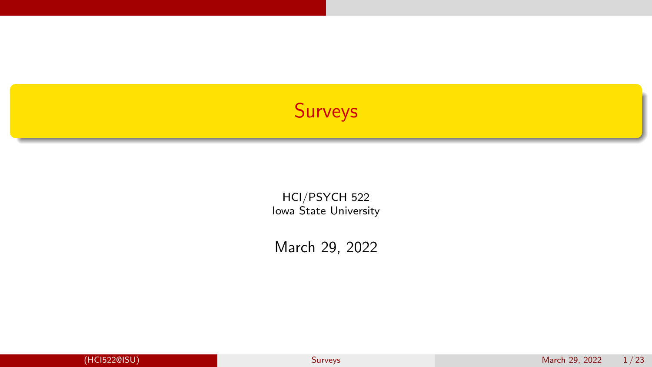# <span id="page-0-0"></span>Surveys

HCI/PSYCH 522 Iowa State University

March 29, 2022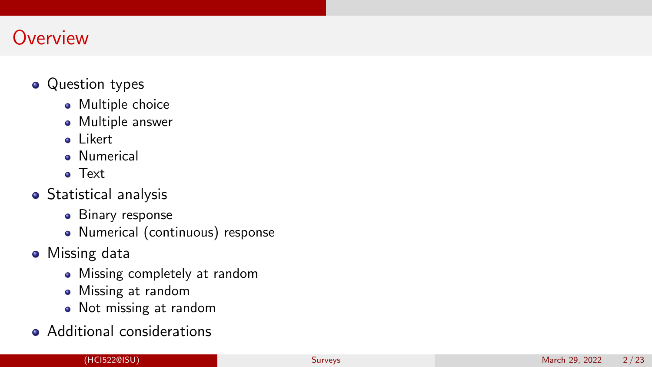# **Overview**

## • Question types

- Multiple choice
- Multiple answer
- a Likert
- **A** Numerical
- Text
- **•** Statistical analysis
	- **•** Binary response
	- Numerical (continuous) response
- Missing data
	- Missing completely at random
	- Missing at random
	- Not missing at random
- Additional considerations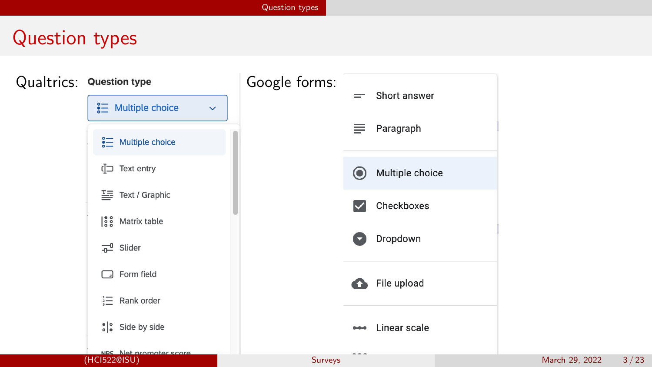# <span id="page-2-0"></span>Question types

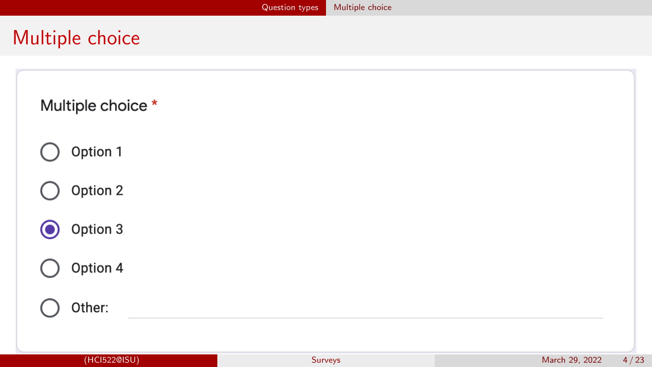# <span id="page-3-0"></span>Multiple choice

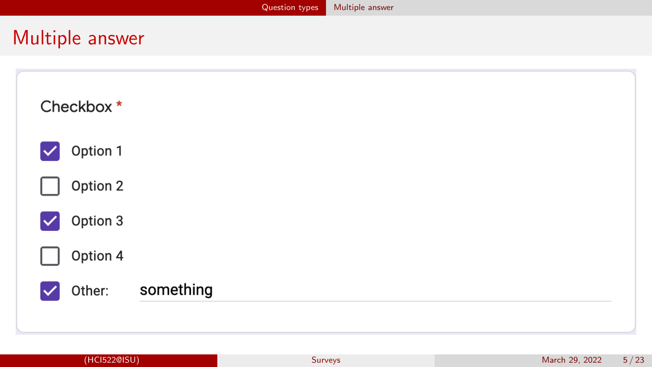# <span id="page-4-0"></span>Multiple answer

| Checkbox*                        |           |
|----------------------------------|-----------|
| Option 1<br>$\checkmark$         |           |
| Option 2                         |           |
| Option 3<br>$\blacktriangledown$ |           |
| Option 4                         |           |
| Other:                           | something |
|                                  |           |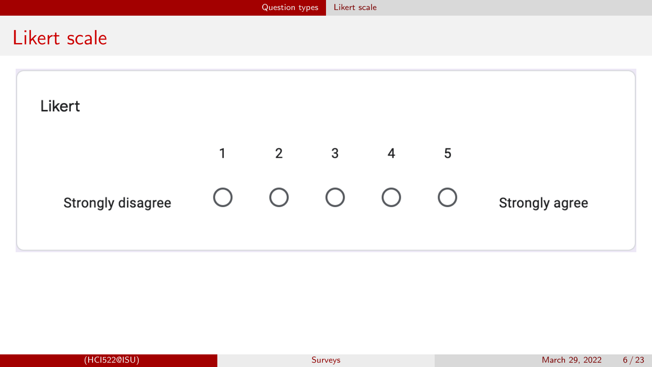<span id="page-5-0"></span>

|              |                   |           | Question types | Likert scale            |                |            |                |  |
|--------------|-------------------|-----------|----------------|-------------------------|----------------|------------|----------------|--|
| Likert scale |                   |           |                |                         |                |            |                |  |
|              | Likert            |           |                |                         |                |            |                |  |
|              |                   | $1 \quad$ | $\overline{2}$ | $\overline{\mathbf{3}}$ | $\overline{4}$ | 5          |                |  |
|              | Strongly disagree | $\bigcup$ | $\bigcirc$     | $\bigcirc$              | $\bigcirc$     | $\bigcirc$ | Strongly agree |  |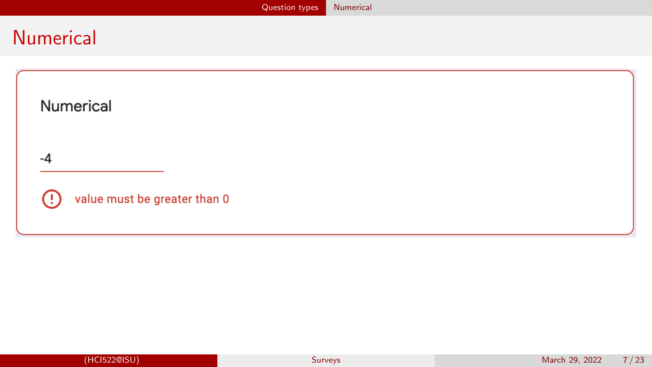# <span id="page-6-0"></span>Numerical

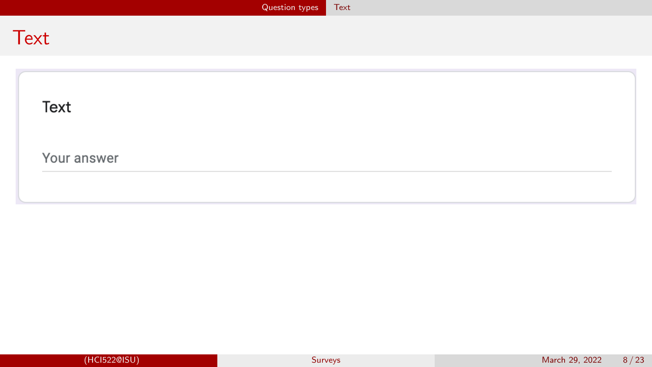<span id="page-7-0"></span>

|             | Question types | Text |  |
|-------------|----------------|------|--|
| <b>Text</b> |                |      |  |
|             |                |      |  |
| Text        |                |      |  |
| Your answer |                |      |  |
|             |                |      |  |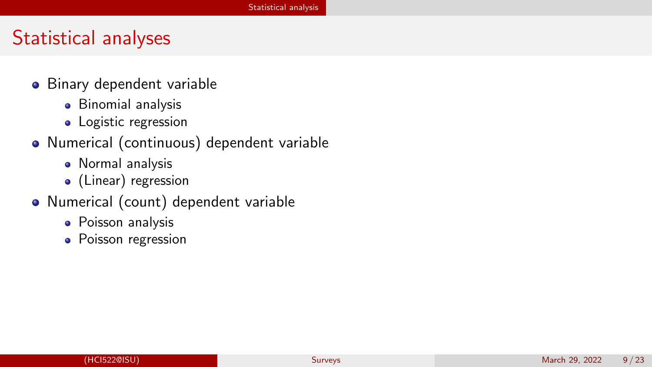# <span id="page-8-0"></span>Statistical analyses

- Binary dependent variable
	- **•** Binomial analysis
	- Logistic regression
- Numerical (continuous) dependent variable
	- Normal analysis
	- (Linear) regression
- Numerical (count) dependent variable
	- Poisson analysis
	- Poisson regression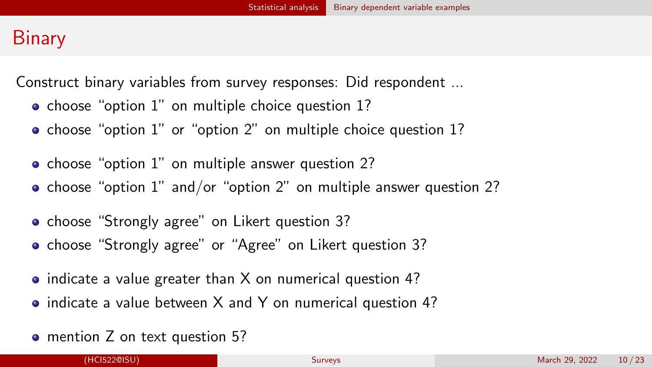# <span id="page-9-0"></span>**Binary**

Construct binary variables from survey responses: Did respondent ...

- choose "option 1" on multiple choice question 1?
- **o** choose "option 1" or "option 2" on multiple choice question 1?
- choose "option 1" on multiple answer question 2?
- choose "option 1" and/or "option 2" on multiple answer question 2?
- choose "Strongly agree" on Likert question 3?
- choose "Strongly agree" or "Agree" on Likert question 3?
- indicate a value greater than X on numerical question 4?
- indicate a value between X and Y on numerical question 4?
- mention Z on text question 5?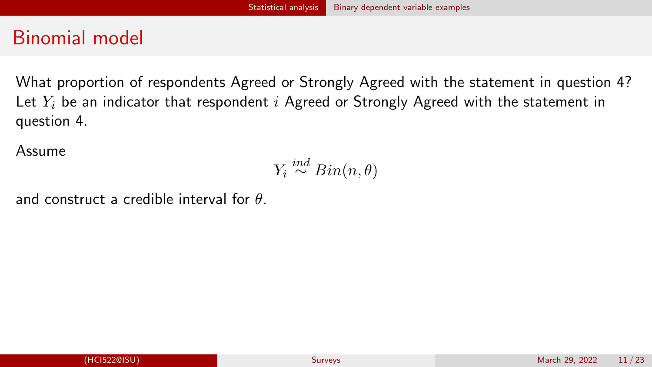# Binomial model

What proportion of respondents Agreed or Strongly Agreed with the statement in question 4? Let  $Y_i$  be an indicator that respondent i Agreed or Strongly Agreed with the statement in question 4.

Assume

$$
Y_i \stackrel{ind}{\sim} Bin(n,\theta)
$$

and construct a credible interval for  $\theta$ .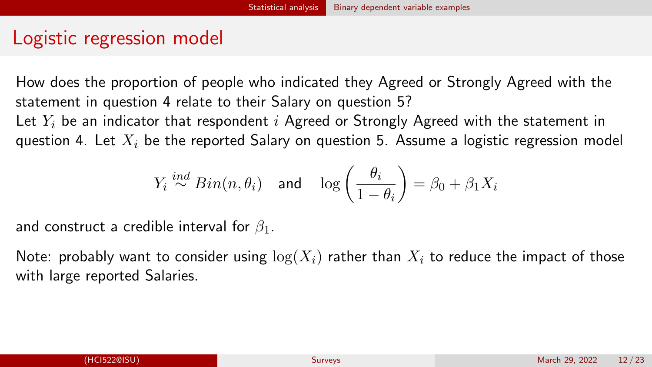# Logistic regression model

How does the proportion of people who indicated they Agreed or Strongly Agreed with the statement in question 4 relate to their Salary on question 5?

Let  $Y_i$  be an indicator that respondent i Agreed or Strongly Agreed with the statement in question 4. Let  $X_i$  be the reported Salary on question 5. Assume a logistic regression model

$$
Y_i \stackrel{ind}{\sim} Bin(n, \theta_i) \quad \text{and} \quad \log\left(\frac{\theta_i}{1-\theta_i}\right) = \beta_0 + \beta_1 X_i
$$

and construct a credible interval for  $\beta_1$ .

Note: probably want to consider using  $\log(X_i)$  rather than  $X_i$  to reduce the impact of those with large reported Salaries.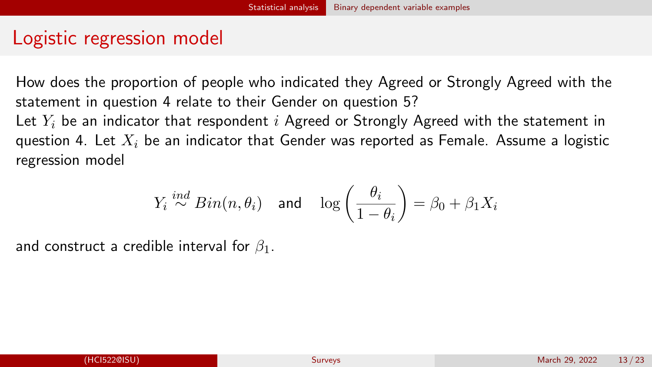# Logistic regression model

How does the proportion of people who indicated they Agreed or Strongly Agreed with the statement in question 4 relate to their Gender on question 5? Let  $Y_i$  be an indicator that respondent i Agreed or Strongly Agreed with the statement in question 4. Let  $X_i$  be an indicator that Gender was reported as Female. Assume a logistic

regression model

$$
Y_i \stackrel{ind}{\sim} Bin(n, \theta_i) \quad \text{and} \quad \log\left(\frac{\theta_i}{1-\theta_i}\right) = \beta_0 + \beta_1 X_i
$$

and construct a credible interval for  $\beta_1$ .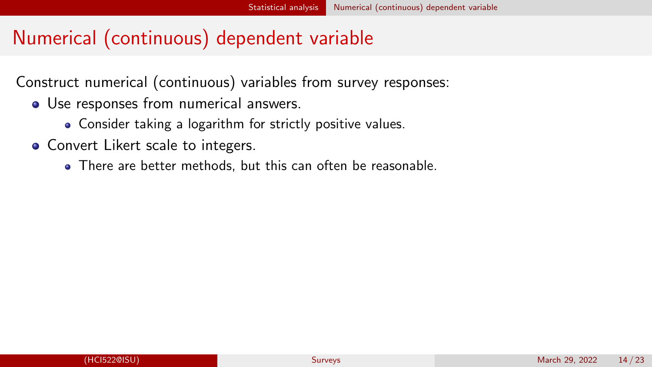# <span id="page-13-0"></span>Numerical (continuous) dependent variable

Construct numerical (continuous) variables from survey responses:

- Use responses from numerical answers.
	- Consider taking a logarithm for strictly positive values.
- Convert Likert scale to integers.
	- There are better methods, but this can often be reasonable.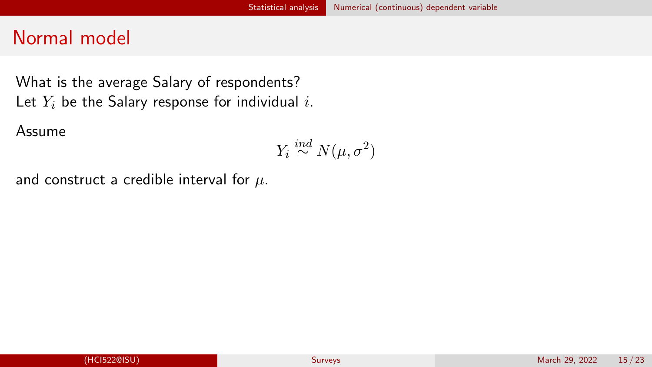# Normal model

What is the average Salary of respondents? Let  $Y_i$  be the Salary response for individual i.

Assume

$$
Y_i \stackrel{ind}{\sim} N(\mu, \sigma^2)
$$

and construct a credible interval for  $\mu$ .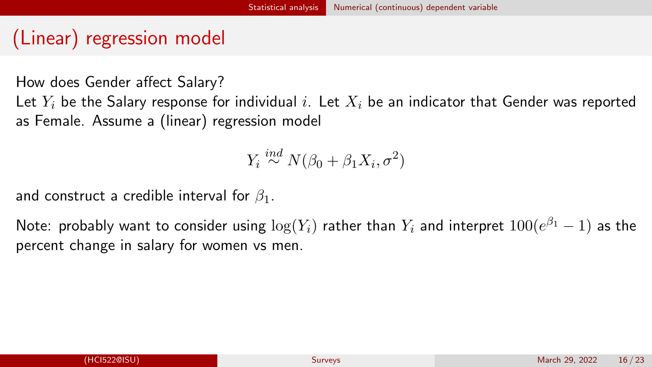# (Linear) regression model

How does Gender affect Salary?

Let  $Y_i$  be the Salary response for individual i. Let  $X_i$  be an indicator that Gender was reported as Female. Assume a (linear) regression model

 $Y_i \stackrel{ind}{\sim} N(\beta_0 + \beta_1 X_i, \sigma^2)$ 

and construct a credible interval for  $\beta_1$ .

Note: probably want to consider using  $\log(Y_i)$  rather than  $Y_i$  and interpret  $100(e^{\beta_1}-1)$  as the percent change in salary for women vs men.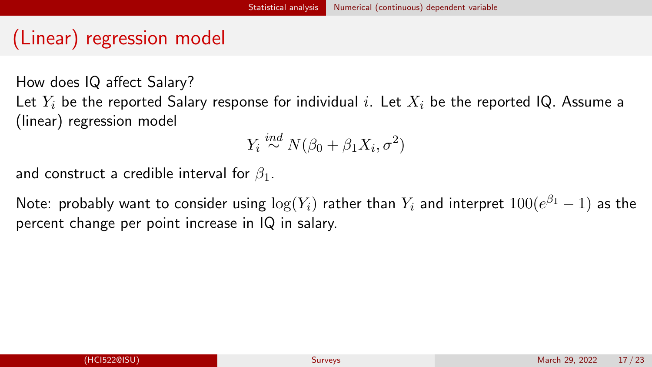# (Linear) regression model

How does IQ affect Salary? Let  $Y_i$  be the reported Salary response for individual i. Let  $X_i$  be the reported IQ. Assume a (linear) regression model

$$
Y_i \stackrel{ind}{\sim} N(\beta_0 + \beta_1 X_i, \sigma^2)
$$

and construct a credible interval for  $\beta_1$ .

Note: probably want to consider using  $\log(Y_i)$  rather than  $Y_i$  and interpret  $100(e^{\beta_1}-1)$  as the percent change per point increase in IQ in salary.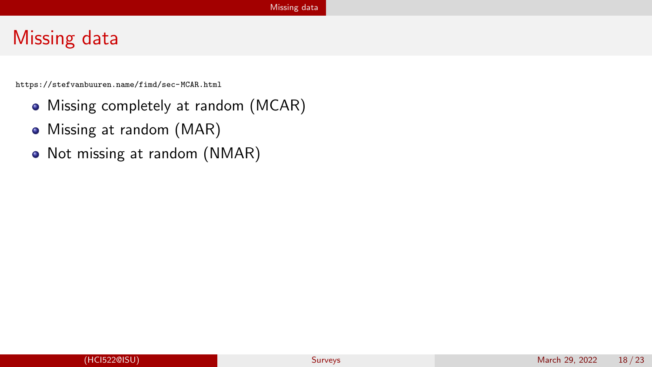# <span id="page-17-0"></span>Missing data

<https://stefvanbuuren.name/fimd/sec-MCAR.html>

- Missing completely at random (MCAR)
- Missing at random (MAR)
- Not missing at random (NMAR)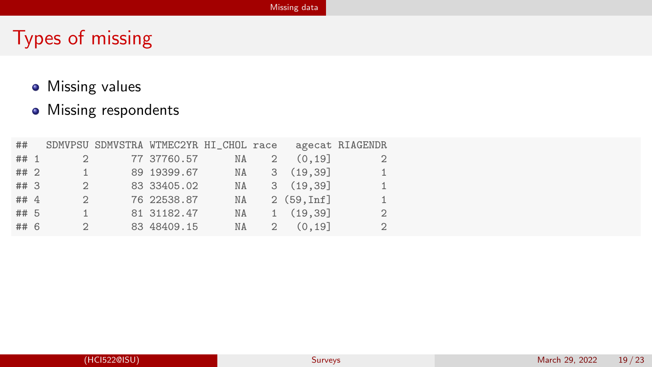#### [Missing data](#page-17-0)

# Types of missing

- **•** Missing values
- Missing respondents

| ##     |               | SDMVPSU SDMVSTRA WTMEC2YR HI_CHOL race |    |             |           | agecat RIAGENDR |
|--------|---------------|----------------------------------------|----|-------------|-----------|-----------------|
| ## 1   | $\mathcal{D}$ | 77 37760.57                            | NA |             | (0.19]    |                 |
| ## 2   | $\mathbf{1}$  | 89 19399.67                            | NA |             | 3(19,39)  | $\mathbf{1}$    |
| ##3    | 2             | 83 33405.02                            | NA |             | 3(19,39)  | $\mathbf{1}$    |
| ## $4$ | $\mathcal{L}$ | 76 22538.87                            | NA |             | 2(59.Inf] | 1               |
| ## 5   | 1             | 81 31182.47                            | NA |             | 1(19.39)  | 2               |
| ## 6   | $\mathcal{L}$ | 83 48409.15                            | NA | $2^{\circ}$ | (0.19]    | $\overline{2}$  |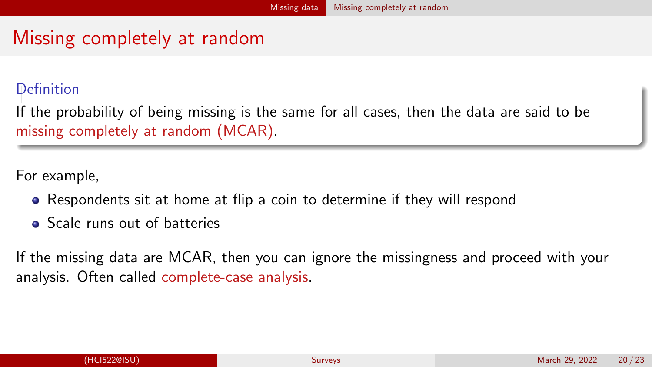# <span id="page-19-0"></span>Missing completely at random

#### **Definition**

If the probability of being missing is the same for all cases, then the data are said to be missing completely at random (MCAR).

For example,

- Respondents sit at home at flip a coin to determine if they will respond
- **•** Scale runs out of batteries

If the missing data are MCAR, then you can ignore the missingness and proceed with your analysis. Often called complete-case analysis.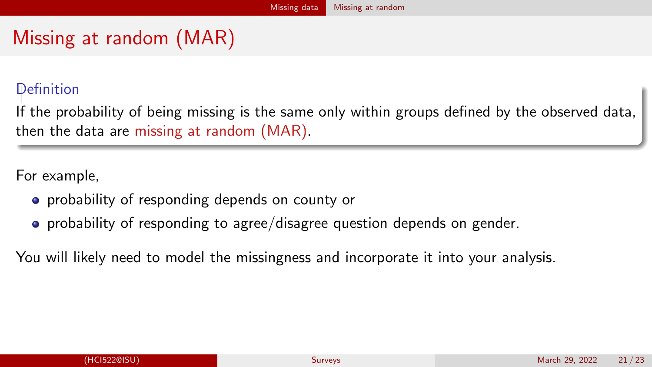# <span id="page-20-0"></span>Missing at random (MAR)

#### **Definition**

If the probability of being missing is the same only within groups defined by the observed data, then the data are missing at random (MAR).

For example,

- **•** probability of responding depends on county or
- probability of responding to agree/disagree question depends on gender.

You will likely need to model the missingness and incorporate it into your analysis.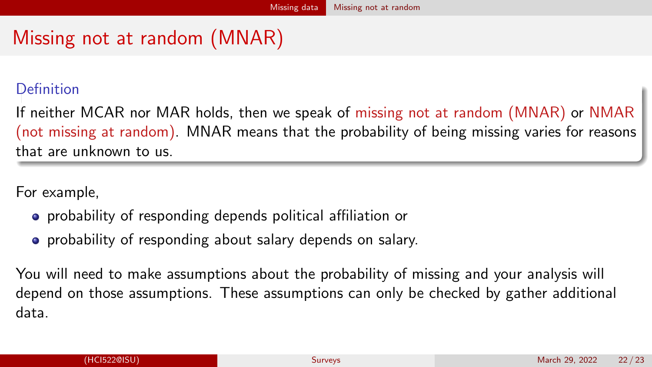# <span id="page-21-0"></span>Missing not at random (MNAR)

### **Definition**

If neither MCAR nor MAR holds, then we speak of missing not at random (MNAR) or NMAR (not missing at random). MNAR means that the probability of being missing varies for reasons that are unknown to us.

For example,

- **•** probability of responding depends political affiliation or
- **•** probability of responding about salary depends on salary.

You will need to make assumptions about the probability of missing and your analysis will depend on those assumptions. These assumptions can only be checked by gather additional data.